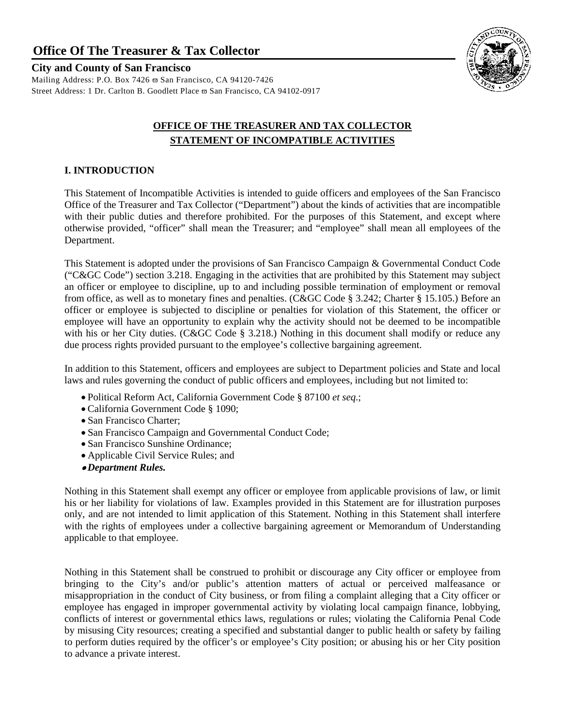**Office Of The Treasurer & Tax Collector**

# **City and County of San Francisco**

Mailing Address: P.O. Box 7426 ϖ San Francisco, CA 94120-7426 Street Address: 1 Dr. Carlton B. Goodlett Place ϖ San Francisco, CA 94102-0917



# **OFFICE OF THE TREASURER AND TAX COLLECTOR STATEMENT OF INCOMPATIBLE ACTIVITIES**

# **I. INTRODUCTION**

This Statement of Incompatible Activities is intended to guide officers and employees of the San Francisco Office of the Treasurer and Tax Collector ("Department") about the kinds of activities that are incompatible with their public duties and therefore prohibited. For the purposes of this Statement, and except where otherwise provided, "officer" shall mean the Treasurer; and "employee" shall mean all employees of the Department.

This Statement is adopted under the provisions of San Francisco Campaign & Governmental Conduct Code ("C&GC Code") section 3.218. Engaging in the activities that are prohibited by this Statement may subject an officer or employee to discipline, up to and including possible termination of employment or removal from office, as well as to monetary fines and penalties. (C&GC Code § 3.242; Charter § 15.105.) Before an officer or employee is subjected to discipline or penalties for violation of this Statement, the officer or employee will have an opportunity to explain why the activity should not be deemed to be incompatible with his or her City duties. (C&GC Code § 3.218.) Nothing in this document shall modify or reduce any due process rights provided pursuant to the employee's collective bargaining agreement.

In addition to this Statement, officers and employees are subject to Department policies and State and local laws and rules governing the conduct of public officers and employees, including but not limited to:

- Political Reform Act, California Government Code § 87100 *et seq*.;
- California Government Code § 1090;
- San Francisco Charter;
- San Francisco Campaign and Governmental Conduct Code;
- San Francisco Sunshine Ordinance;
- Applicable Civil Service Rules; and
- *Department Rules.*

Nothing in this Statement shall exempt any officer or employee from applicable provisions of law, or limit his or her liability for violations of law. Examples provided in this Statement are for illustration purposes only, and are not intended to limit application of this Statement. Nothing in this Statement shall interfere with the rights of employees under a collective bargaining agreement or Memorandum of Understanding applicable to that employee.

Nothing in this Statement shall be construed to prohibit or discourage any City officer or employee from bringing to the City's and/or public's attention matters of actual or perceived malfeasance or misappropriation in the conduct of City business, or from filing a complaint alleging that a City officer or employee has engaged in improper governmental activity by violating local campaign finance, lobbying, conflicts of interest or governmental ethics laws, regulations or rules; violating the California Penal Code by misusing City resources; creating a specified and substantial danger to public health or safety by failing to perform duties required by the officer's or employee's City position; or abusing his or her City position to advance a private interest.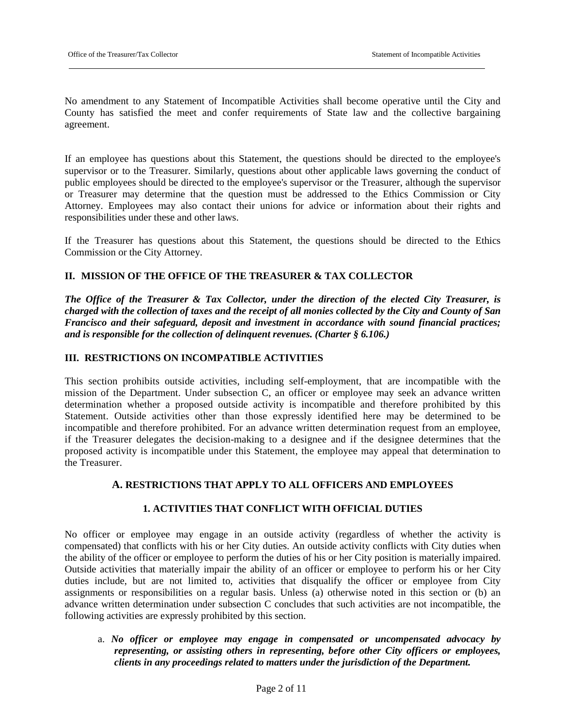No amendment to any Statement of Incompatible Activities shall become operative until the City and County has satisfied the meet and confer requirements of State law and the collective bargaining agreement.

If an employee has questions about this Statement, the questions should be directed to the employee's supervisor or to the Treasurer. Similarly, questions about other applicable laws governing the conduct of public employees should be directed to the employee's supervisor or the Treasurer, although the supervisor or Treasurer may determine that the question must be addressed to the Ethics Commission or City Attorney. Employees may also contact their unions for advice or information about their rights and responsibilities under these and other laws.

If the Treasurer has questions about this Statement, the questions should be directed to the Ethics Commission or the City Attorney.

## **II. MISSION OF THE OFFICE OF THE TREASURER & TAX COLLECTOR**

*The Office of the Treasurer & Tax Collector, under the direction of the elected City Treasurer, is charged with the collection of taxes and the receipt of all monies collected by the City and County of San Francisco and their safeguard, deposit and investment in accordance with sound financial practices; and is responsible for the collection of delinquent revenues. (Charter § 6.106.)*

#### **III. RESTRICTIONS ON INCOMPATIBLE ACTIVITIES**

This section prohibits outside activities, including self-employment, that are incompatible with the mission of the Department. Under subsection C, an officer or employee may seek an advance written determination whether a proposed outside activity is incompatible and therefore prohibited by this Statement. Outside activities other than those expressly identified here may be determined to be incompatible and therefore prohibited. For an advance written determination request from an employee, if the Treasurer delegates the decision-making to a designee and if the designee determines that the proposed activity is incompatible under this Statement, the employee may appeal that determination to the Treasurer.

# **A. RESTRICTIONS THAT APPLY TO ALL OFFICERS AND EMPLOYEES**

## **1. ACTIVITIES THAT CONFLICT WITH OFFICIAL DUTIES**

No officer or employee may engage in an outside activity (regardless of whether the activity is compensated) that conflicts with his or her City duties. An outside activity conflicts with City duties when the ability of the officer or employee to perform the duties of his or her City position is materially impaired. Outside activities that materially impair the ability of an officer or employee to perform his or her City duties include, but are not limited to, activities that disqualify the officer or employee from City assignments or responsibilities on a regular basis. Unless (a) otherwise noted in this section or (b) an advance written determination under subsection C concludes that such activities are not incompatible, the following activities are expressly prohibited by this section.

a. *No officer or employee may engage in compensated or uncompensated advocacy by representing, or assisting others in representing, before other City officers or employees, clients in any proceedings related to matters under the jurisdiction of the Department.*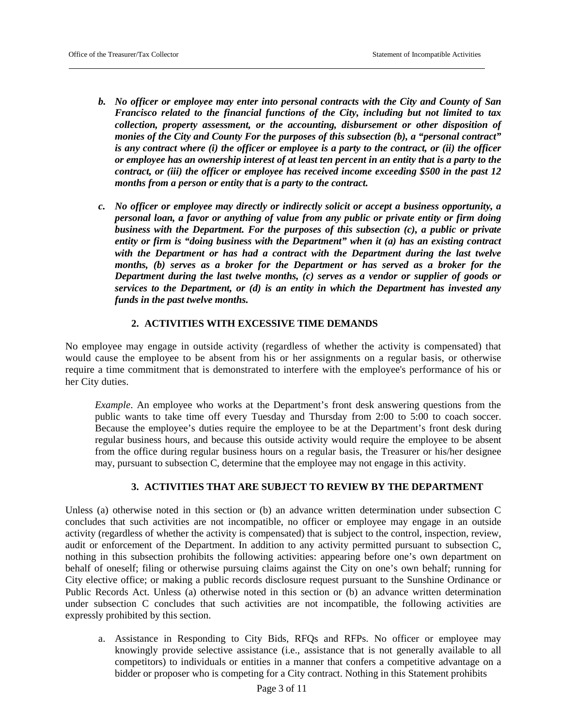- *b. No officer or employee may enter into personal contracts with the City and County of San Francisco related to the financial functions of the City, including but not limited to tax collection, property assessment, or the accounting, disbursement or other disposition of monies of the City and County For the purposes of this subsection (b), a "personal contract" is any contract where (i) the officer or employee is a party to the contract, or (ii) the officer or employee has an ownership interest of at least ten percent in an entity that is a party to the contract, or (iii) the officer or employee has received income exceeding \$500 in the past 12 months from a person or entity that is a party to the contract.*
- *c. No officer or employee may directly or indirectly solicit or accept a business opportunity, a personal loan, a favor or anything of value from any public or private entity or firm doing business with the Department. For the purposes of this subsection (c), a public or private entity or firm is "doing business with the Department" when it (a) has an existing contract with the Department or has had a contract with the Department during the last twelve months, (b) serves as a broker for the Department or has served as a broker for the Department during the last twelve months, (c) serves as a vendor or supplier of goods or services to the Department, or (d) is an entity in which the Department has invested any funds in the past twelve months.*

# **2. ACTIVITIES WITH EXCESSIVE TIME DEMANDS**

No employee may engage in outside activity (regardless of whether the activity is compensated) that would cause the employee to be absent from his or her assignments on a regular basis, or otherwise require a time commitment that is demonstrated to interfere with the employee's performance of his or her City duties.

*Example*. An employee who works at the Department's front desk answering questions from the public wants to take time off every Tuesday and Thursday from 2:00 to 5:00 to coach soccer. Because the employee's duties require the employee to be at the Department's front desk during regular business hours, and because this outside activity would require the employee to be absent from the office during regular business hours on a regular basis, the Treasurer or his/her designee may, pursuant to subsection C, determine that the employee may not engage in this activity.

# **3. ACTIVITIES THAT ARE SUBJECT TO REVIEW BY THE DEPARTMENT**

Unless (a) otherwise noted in this section or (b) an advance written determination under subsection C concludes that such activities are not incompatible, no officer or employee may engage in an outside activity (regardless of whether the activity is compensated) that is subject to the control, inspection, review, audit or enforcement of the Department. In addition to any activity permitted pursuant to subsection C, nothing in this subsection prohibits the following activities: appearing before one's own department on behalf of oneself; filing or otherwise pursuing claims against the City on one's own behalf; running for City elective office; or making a public records disclosure request pursuant to the Sunshine Ordinance or Public Records Act. Unless (a) otherwise noted in this section or (b) an advance written determination under subsection C concludes that such activities are not incompatible, the following activities are expressly prohibited by this section.

a. Assistance in Responding to City Bids, RFQs and RFPs. No officer or employee may knowingly provide selective assistance (i.e., assistance that is not generally available to all competitors) to individuals or entities in a manner that confers a competitive advantage on a bidder or proposer who is competing for a City contract. Nothing in this Statement prohibits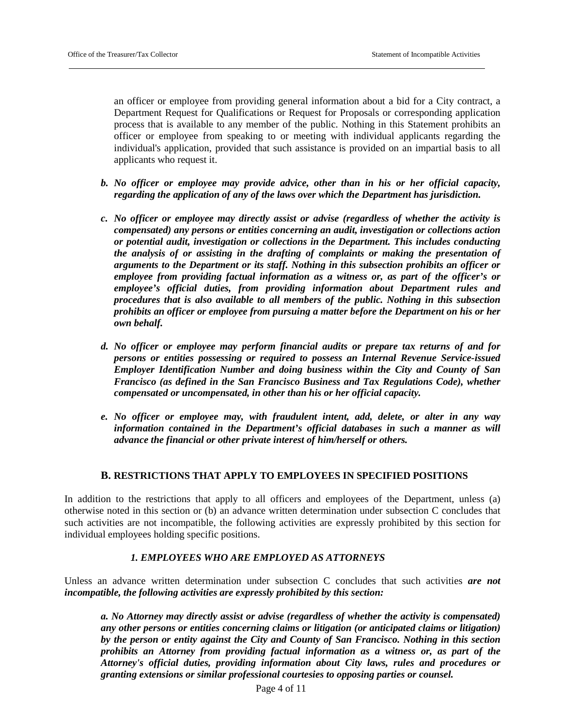an officer or employee from providing general information about a bid for a City contract, a Department Request for Qualifications or Request for Proposals or corresponding application process that is available to any member of the public. Nothing in this Statement prohibits an officer or employee from speaking to or meeting with individual applicants regarding the individual's application, provided that such assistance is provided on an impartial basis to all applicants who request it.

- *b. No officer or employee may provide advice, other than in his or her official capacity, regarding the application of any of the laws over which the Department has jurisdiction.*
- *c. No officer or employee may directly assist or advise (regardless of whether the activity is compensated) any persons or entities concerning an audit, investigation or collections action or potential audit, investigation or collections in the Department. This includes conducting the analysis of or assisting in the drafting of complaints or making the presentation of arguments to the Department or its staff. Nothing in this subsection prohibits an officer or employee from providing factual information as a witness or, as part of the officer's or employee's official duties, from providing information about Department rules and procedures that is also available to all members of the public. Nothing in this subsection prohibits an officer or employee from pursuing a matter before the Department on his or her own behalf.*
- *d. No officer or employee may perform financial audits or prepare tax returns of and for persons or entities possessing or required to possess an Internal Revenue Service-issued Employer Identification Number and doing business within the City and County of San Francisco (as defined in the San Francisco Business and Tax Regulations Code), whether compensated or uncompensated, in other than his or her official capacity.*
- *e. No officer or employee may, with fraudulent intent, add, delete, or alter in any way information contained in the Department's official databases in such a manner as will advance the financial or other private interest of him/herself or others.*

## **B. RESTRICTIONS THAT APPLY TO EMPLOYEES IN SPECIFIED POSITIONS**

In addition to the restrictions that apply to all officers and employees of the Department, unless (a) otherwise noted in this section or (b) an advance written determination under subsection C concludes that such activities are not incompatible, the following activities are expressly prohibited by this section for individual employees holding specific positions.

## *1. EMPLOYEES WHO ARE EMPLOYED AS ATTORNEYS*

Unless an advance written determination under subsection C concludes that such activities *are not incompatible, the following activities are expressly prohibited by this section:*

*a. No Attorney may directly assist or advise (regardless of whether the activity is compensated) any other persons or entities concerning claims or litigation (or anticipated claims or litigation) by the person or entity against the City and County of San Francisco. Nothing in this section prohibits an Attorney from providing factual information as a witness or, as part of the Attorney's official duties, providing information about City laws, rules and procedures or granting extensions or similar professional courtesies to opposing parties or counsel.*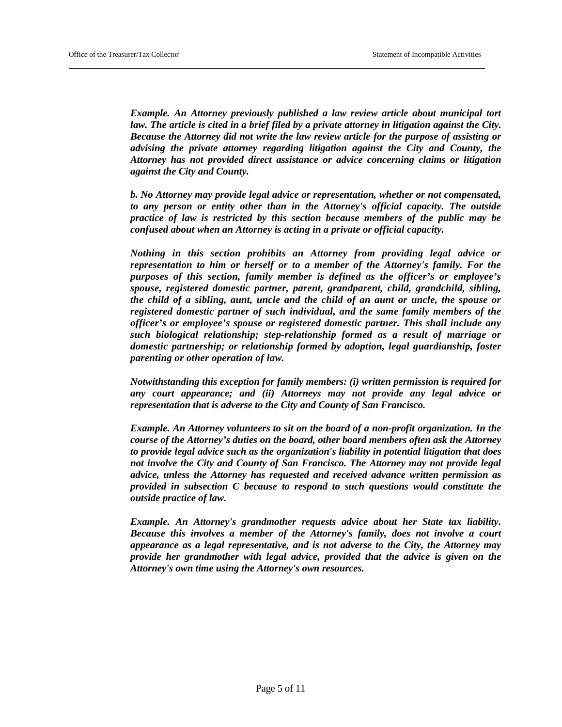*Example. An Attorney previously published a law review article about municipal tort law. The article is cited in a brief filed by a private attorney in litigation against the City. Because the Attorney did not write the law review article for the purpose of assisting or advising the private attorney regarding litigation against the City and County, the Attorney has not provided direct assistance or advice concerning claims or litigation against the City and County.*

*b. No Attorney may provide legal advice or representation, whether or not compensated, to any person or entity other than in the Attorney's official capacity. The outside practice of law is restricted by this section because members of the public may be confused about when an Attorney is acting in a private or official capacity.*

*Nothing in this section prohibits an Attorney from providing legal advice or representation to him or herself or to a member of the Attorney's family. For the purposes of this section, family member is defined as the officer's or employee's spouse, registered domestic partner, parent, grandparent, child, grandchild, sibling, the child of a sibling, aunt, uncle and the child of an aunt or uncle, the spouse or registered domestic partner of such individual, and the same family members of the officer's or employee's spouse or registered domestic partner. This shall include any such biological relationship; step-relationship formed as a result of marriage or domestic partnership; or relationship formed by adoption, legal guardianship, foster parenting or other operation of law.*

*Notwithstanding this exception for family members: (i) written permission is required for any court appearance; and (ii) Attorneys may not provide any legal advice or representation that is adverse to the City and County of San Francisco.*

*Example. An Attorney volunteers to sit on the board of a non-profit organization. In the course of the Attorney's duties on the board, other board members often ask the Attorney to provide legal advice such as the organization's liability in potential litigation that does not involve the City and County of San Francisco. The Attorney may not provide legal advice, unless the Attorney has requested and received advance written permission as provided in subsection C because to respond to such questions would constitute the outside practice of law.*

*Example. An Attorney's grandmother requests advice about her State tax liability. Because this involves a member of the Attorney's family, does not involve a court appearance as a legal representative, and is not adverse to the City, the Attorney may provide her grandmother with legal advice, provided that the advice is given on the Attorney's own time using the Attorney's own resources.*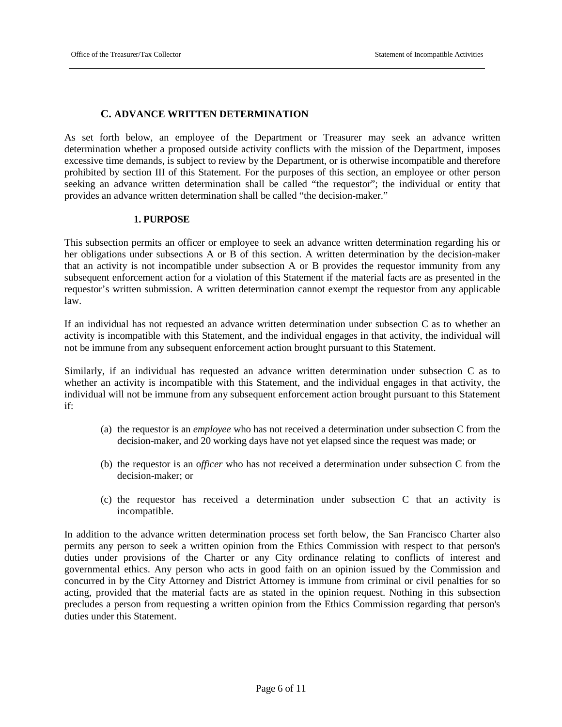# **C. ADVANCE WRITTEN DETERMINATION**

As set forth below, an employee of the Department or Treasurer may seek an advance written determination whether a proposed outside activity conflicts with the mission of the Department, imposes excessive time demands, is subject to review by the Department, or is otherwise incompatible and therefore prohibited by section III of this Statement. For the purposes of this section, an employee or other person seeking an advance written determination shall be called "the requestor"; the individual or entity that provides an advance written determination shall be called "the decision-maker."

## **1. PURPOSE**

This subsection permits an officer or employee to seek an advance written determination regarding his or her obligations under subsections A or B of this section. A written determination by the decision-maker that an activity is not incompatible under subsection A or B provides the requestor immunity from any subsequent enforcement action for a violation of this Statement if the material facts are as presented in the requestor's written submission. A written determination cannot exempt the requestor from any applicable law.

If an individual has not requested an advance written determination under subsection C as to whether an activity is incompatible with this Statement, and the individual engages in that activity, the individual will not be immune from any subsequent enforcement action brought pursuant to this Statement.

Similarly, if an individual has requested an advance written determination under subsection C as to whether an activity is incompatible with this Statement, and the individual engages in that activity, the individual will not be immune from any subsequent enforcement action brought pursuant to this Statement if:

- (a) the requestor is an *employee* who has not received a determination under subsection C from the decision-maker, and 20 working days have not yet elapsed since the request was made; or
- (b) the requestor is an o*fficer* who has not received a determination under subsection C from the decision-maker; or
- (c) the requestor has received a determination under subsection C that an activity is incompatible.

In addition to the advance written determination process set forth below, the San Francisco Charter also permits any person to seek a written opinion from the Ethics Commission with respect to that person's duties under provisions of the Charter or any City ordinance relating to conflicts of interest and governmental ethics. Any person who acts in good faith on an opinion issued by the Commission and concurred in by the City Attorney and District Attorney is immune from criminal or civil penalties for so acting, provided that the material facts are as stated in the opinion request. Nothing in this subsection precludes a person from requesting a written opinion from the Ethics Commission regarding that person's duties under this Statement.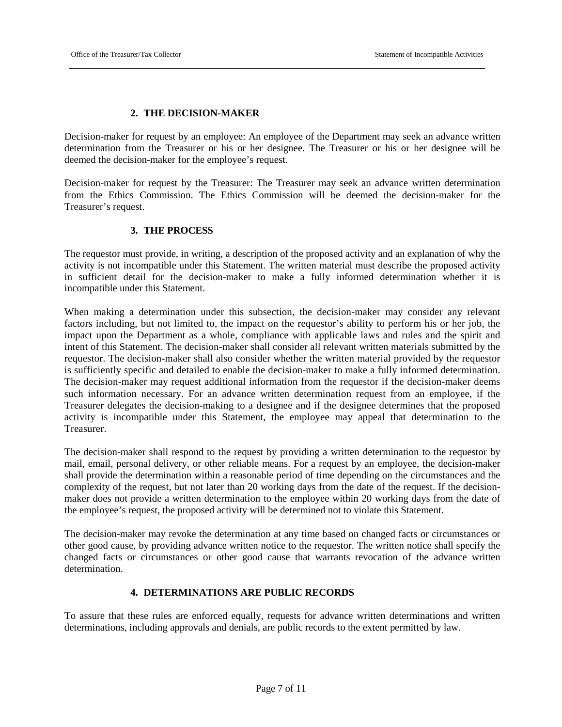# **2. THE DECISION-MAKER**

Decision-maker for request by an employee: An employee of the Department may seek an advance written determination from the Treasurer or his or her designee. The Treasurer or his or her designee will be deemed the decision-maker for the employee's request.

Decision-maker for request by the Treasurer: The Treasurer may seek an advance written determination from the Ethics Commission. The Ethics Commission will be deemed the decision-maker for the Treasurer's request.

# **3. THE PROCESS**

The requestor must provide, in writing, a description of the proposed activity and an explanation of why the activity is not incompatible under this Statement. The written material must describe the proposed activity in sufficient detail for the decision-maker to make a fully informed determination whether it is incompatible under this Statement.

When making a determination under this subsection, the decision-maker may consider any relevant factors including, but not limited to, the impact on the requestor's ability to perform his or her job, the impact upon the Department as a whole, compliance with applicable laws and rules and the spirit and intent of this Statement. The decision-maker shall consider all relevant written materials submitted by the requestor. The decision-maker shall also consider whether the written material provided by the requestor is sufficiently specific and detailed to enable the decision-maker to make a fully informed determination. The decision-maker may request additional information from the requestor if the decision-maker deems such information necessary. For an advance written determination request from an employee, if the Treasurer delegates the decision-making to a designee and if the designee determines that the proposed activity is incompatible under this Statement, the employee may appeal that determination to the Treasurer.

The decision-maker shall respond to the request by providing a written determination to the requestor by mail, email, personal delivery, or other reliable means. For a request by an employee, the decision-maker shall provide the determination within a reasonable period of time depending on the circumstances and the complexity of the request, but not later than 20 working days from the date of the request. If the decisionmaker does not provide a written determination to the employee within 20 working days from the date of the employee's request, the proposed activity will be determined not to violate this Statement.

The decision-maker may revoke the determination at any time based on changed facts or circumstances or other good cause, by providing advance written notice to the requestor. The written notice shall specify the changed facts or circumstances or other good cause that warrants revocation of the advance written determination.

## **4. DETERMINATIONS ARE PUBLIC RECORDS**

To assure that these rules are enforced equally, requests for advance written determinations and written determinations, including approvals and denials, are public records to the extent permitted by law.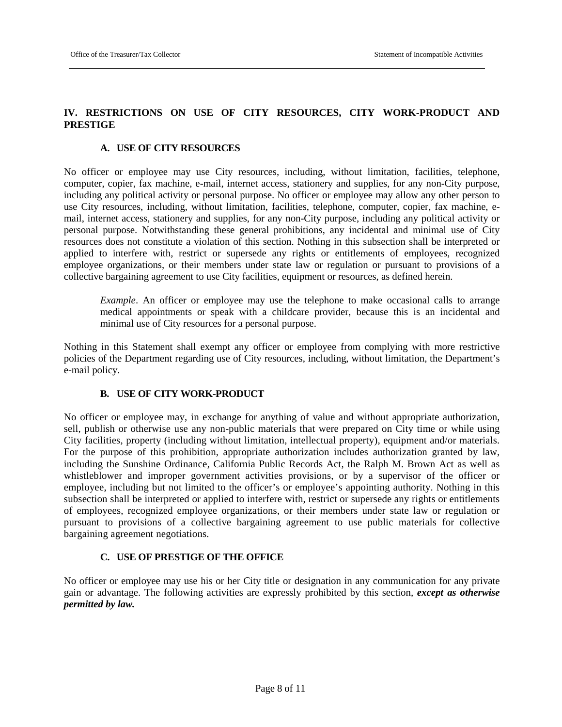# **IV. RESTRICTIONS ON USE OF CITY RESOURCES, CITY WORK-PRODUCT AND PRESTIGE**

#### **A. USE OF CITY RESOURCES**

No officer or employee may use City resources, including, without limitation, facilities, telephone, computer, copier, fax machine, e-mail, internet access, stationery and supplies, for any non-City purpose, including any political activity or personal purpose. No officer or employee may allow any other person to use City resources, including, without limitation, facilities, telephone, computer, copier, fax machine, email, internet access, stationery and supplies, for any non-City purpose, including any political activity or personal purpose. Notwithstanding these general prohibitions, any incidental and minimal use of City resources does not constitute a violation of this section. Nothing in this subsection shall be interpreted or applied to interfere with, restrict or supersede any rights or entitlements of employees, recognized employee organizations, or their members under state law or regulation or pursuant to provisions of a collective bargaining agreement to use City facilities, equipment or resources, as defined herein.

*Example*. An officer or employee may use the telephone to make occasional calls to arrange medical appointments or speak with a childcare provider, because this is an incidental and minimal use of City resources for a personal purpose.

Nothing in this Statement shall exempt any officer or employee from complying with more restrictive policies of the Department regarding use of City resources, including, without limitation, the Department's e-mail policy.

## **B. USE OF CITY WORK-PRODUCT**

No officer or employee may, in exchange for anything of value and without appropriate authorization, sell, publish or otherwise use any non-public materials that were prepared on City time or while using City facilities, property (including without limitation, intellectual property), equipment and/or materials. For the purpose of this prohibition, appropriate authorization includes authorization granted by law, including the Sunshine Ordinance, California Public Records Act, the Ralph M. Brown Act as well as whistleblower and improper government activities provisions, or by a supervisor of the officer or employee, including but not limited to the officer's or employee's appointing authority. Nothing in this subsection shall be interpreted or applied to interfere with, restrict or supersede any rights or entitlements of employees, recognized employee organizations, or their members under state law or regulation or pursuant to provisions of a collective bargaining agreement to use public materials for collective bargaining agreement negotiations.

## **C. USE OF PRESTIGE OF THE OFFICE**

No officer or employee may use his or her City title or designation in any communication for any private gain or advantage. The following activities are expressly prohibited by this section, *except as otherwise permitted by law.*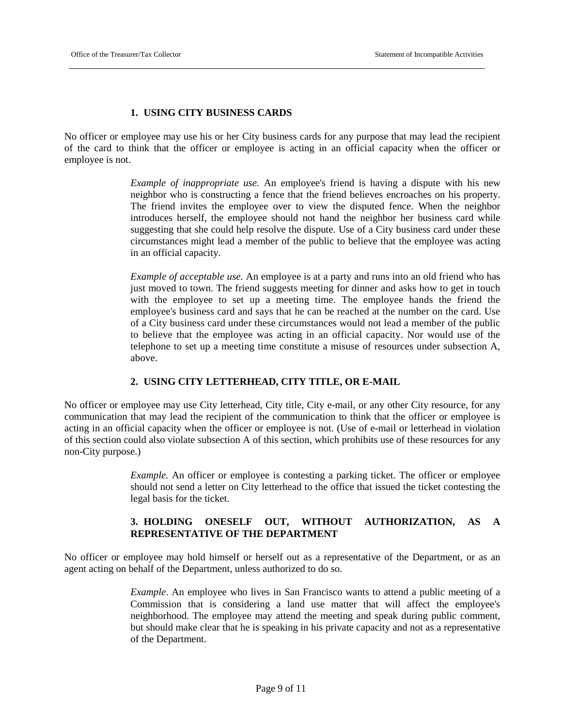# **1. USING CITY BUSINESS CARDS**

No officer or employee may use his or her City business cards for any purpose that may lead the recipient of the card to think that the officer or employee is acting in an official capacity when the officer or employee is not.

> *Example of inappropriate use.* An employee's friend is having a dispute with his new neighbor who is constructing a fence that the friend believes encroaches on his property. The friend invites the employee over to view the disputed fence. When the neighbor introduces herself, the employee should not hand the neighbor her business card while suggesting that she could help resolve the dispute. Use of a City business card under these circumstances might lead a member of the public to believe that the employee was acting in an official capacity.

> *Example of acceptable use.* An employee is at a party and runs into an old friend who has just moved to town. The friend suggests meeting for dinner and asks how to get in touch with the employee to set up a meeting time. The employee hands the friend the employee's business card and says that he can be reached at the number on the card. Use of a City business card under these circumstances would not lead a member of the public to believe that the employee was acting in an official capacity. Nor would use of the telephone to set up a meeting time constitute a misuse of resources under subsection A, above.

# **2. USING CITY LETTERHEAD, CITY TITLE, OR E-MAIL**

No officer or employee may use City letterhead, City title, City e-mail, or any other City resource, for any communication that may lead the recipient of the communication to think that the officer or employee is acting in an official capacity when the officer or employee is not. (Use of e-mail or letterhead in violation of this section could also violate subsection A of this section, which prohibits use of these resources for any non-City purpose.)

> *Example.* An officer or employee is contesting a parking ticket. The officer or employee should not send a letter on City letterhead to the office that issued the ticket contesting the legal basis for the ticket.

# **3. HOLDING ONESELF OUT, WITHOUT AUTHORIZATION, AS A REPRESENTATIVE OF THE DEPARTMENT**

No officer or employee may hold himself or herself out as a representative of the Department, or as an agent acting on behalf of the Department, unless authorized to do so.

> *Example*. An employee who lives in San Francisco wants to attend a public meeting of a Commission that is considering a land use matter that will affect the employee's neighborhood. The employee may attend the meeting and speak during public comment, but should make clear that he is speaking in his private capacity and not as a representative of the Department.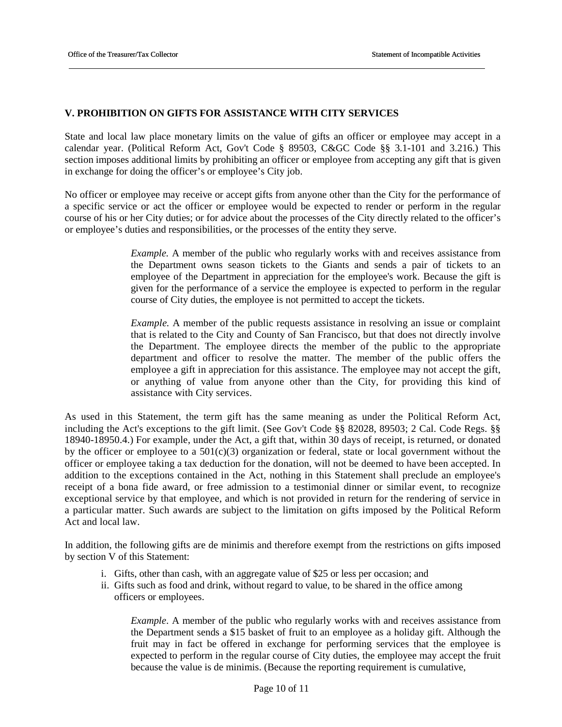## **V. PROHIBITION ON GIFTS FOR ASSISTANCE WITH CITY SERVICES**

State and local law place monetary limits on the value of gifts an officer or employee may accept in a calendar year. (Political Reform Act, Gov't Code § 89503, C&GC Code §§ 3.1-101 and 3.216.) This section imposes additional limits by prohibiting an officer or employee from accepting any gift that is given in exchange for doing the officer's or employee's City job.

No officer or employee may receive or accept gifts from anyone other than the City for the performance of a specific service or act the officer or employee would be expected to render or perform in the regular course of his or her City duties; or for advice about the processes of the City directly related to the officer's or employee's duties and responsibilities, or the processes of the entity they serve.

> *Example.* A member of the public who regularly works with and receives assistance from the Department owns season tickets to the Giants and sends a pair of tickets to an employee of the Department in appreciation for the employee's work. Because the gift is given for the performance of a service the employee is expected to perform in the regular course of City duties, the employee is not permitted to accept the tickets.

> *Example.* A member of the public requests assistance in resolving an issue or complaint that is related to the City and County of San Francisco, but that does not directly involve the Department. The employee directs the member of the public to the appropriate department and officer to resolve the matter. The member of the public offers the employee a gift in appreciation for this assistance. The employee may not accept the gift, or anything of value from anyone other than the City, for providing this kind of assistance with City services.

As used in this Statement, the term gift has the same meaning as under the Political Reform Act, including the Act's exceptions to the gift limit. (See Gov't Code §§ 82028, 89503; 2 Cal. Code Regs. §§ 18940-18950.4.) For example, under the Act, a gift that, within 30 days of receipt, is returned, or donated by the officer or employee to a  $501(c)(3)$  organization or federal, state or local government without the officer or employee taking a tax deduction for the donation, will not be deemed to have been accepted. In addition to the exceptions contained in the Act, nothing in this Statement shall preclude an employee's receipt of a bona fide award, or free admission to a testimonial dinner or similar event, to recognize exceptional service by that employee, and which is not provided in return for the rendering of service in a particular matter. Such awards are subject to the limitation on gifts imposed by the Political Reform Act and local law.

In addition, the following gifts are de minimis and therefore exempt from the restrictions on gifts imposed by section V of this Statement:

- i. Gifts, other than cash, with an aggregate value of \$25 or less per occasion; and
- ii. Gifts such as food and drink, without regard to value, to be shared in the office among officers or employees.

*Example*. A member of the public who regularly works with and receives assistance from the Department sends a \$15 basket of fruit to an employee as a holiday gift. Although the fruit may in fact be offered in exchange for performing services that the employee is expected to perform in the regular course of City duties, the employee may accept the fruit because the value is de minimis. (Because the reporting requirement is cumulative,